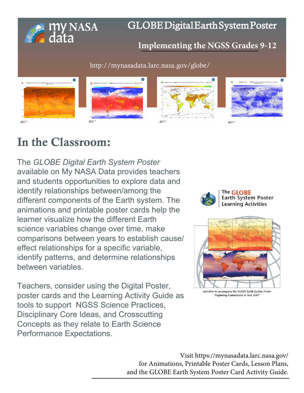

# GLOBEDigitalEarthSystemPoster

## **I[mplementing the NGSS Grades](http://mynasadata.larc.nasa.gov/globe/) 9-12**

http://mynasadata.larc.nasa.gov/globe/



# In the Classroom:

The *GLOBE Digital Earth System Poster* available on My NASA Data provides teachers and students opportunities to explore data and identify relationships between/among the different components of the Earth system. The animations and printable poster cards help the learner visualize how the different Earth science variables change over time, make comparisons between years to establish cause/ effect relationships for a specific variable, identify patterns, and determine relationships between variables.

Teachers, consider using the Digital Poster, poster cards and the Learning Activity Guide as tools to support NGSS Science Practices, Disciplinary Core Ideas, and Crosscutting Concepts as they relate to Earth Science Performance Expectations.





"Exploring Connections in Year 2007

Visit https://mynasadata.larc.nasa.gov/ for Animations, Printable Poster Cards, Lesson Plans, [and the GLOBE Earth System Poster Card Activity Guide.](http://mynasadata.larc.nasa.gov/lesson-plans/lesson-plans-elementary-educators/)